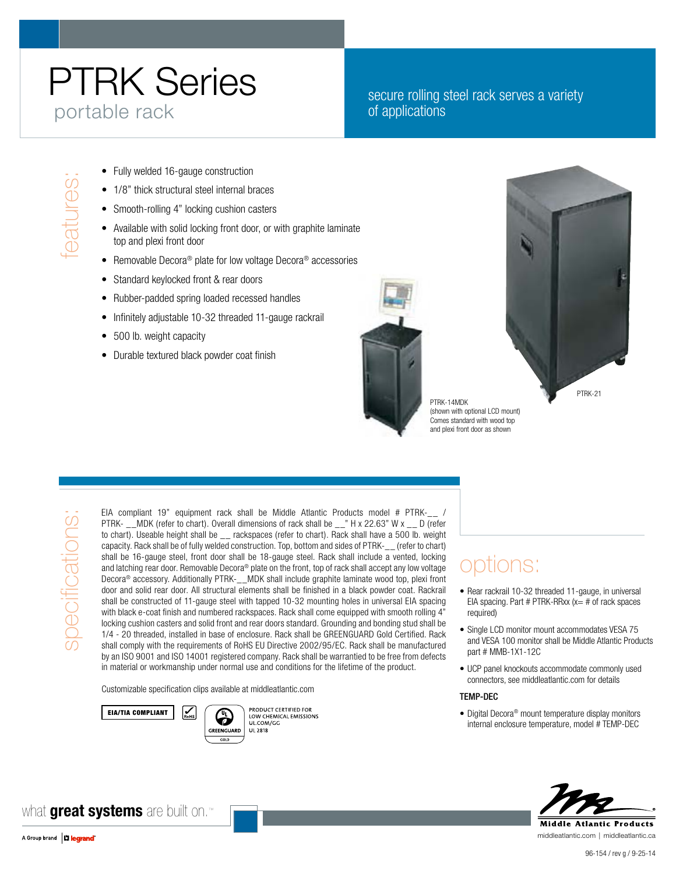# PTRK Series portable rack

#### secure rolling steel rack serves a variety of applications

- 
- 1/8" thick structural steel internal braces
- Smooth-rolling 4" locking cushion casters
- Fully welded 16-gauge construction<br>
 1/8" thick structural steel internal b<br>
 Smooth-rolling 4" locking cushion c<br>
 Available with solid locking front doom<br>
top and plexi front doom • Available with solid locking front door, or with graphite laminate top and plexi front door
	- Removable Decora® plate for low voltage Decora® accessories
	- Standard keylocked front & rear doors
	- Rubber-padded spring loaded recessed handles
	- Infinitely adjustable 10-32 threaded 11-gauge rackrail
	- 500 lb. weight capacity
	- **Durable textured black powder coat finish**





PTRK-14MDK (shown with optional LCD mount) Comes standard with wood top and plexi front door as shown

specifications specifications: EIA compliant 19" equipment rack shall be Middle Atlantic Products model # PTRK-\_\_ / PTRK- \_\_MDK (refer to chart). Overall dimensions of rack shall be \_\_" H x 22.63" W x \_\_ D (refer to chart). Useable height shall be \_\_ rackspaces (refer to chart). Rack shall have a 500 lb. weight capacity. Rack shall be of fully welded construction. Top, bottom and sides of PTRK-\_\_ (refer to chart) shall be 16-gauge steel, front door shall be 18-gauge steel. Rack shall include a vented, locking and latching rear door. Removable Decora® plate on the front, top of rack shall accept any low voltage Decora® accessory. Additionally PTRK-\_\_MDK shall include graphite laminate wood top, plexi front door and solid rear door. All structural elements shall be finished in a black powder coat. Rackrail shall be constructed of 11-gauge steel with tapped 10-32 mounting holes in universal EIA spacing with black e-coat finish and numbered rackspaces. Rack shall come equipped with smooth rolling 4" locking cushion casters and solid front and rear doors standard. Grounding and bonding stud shall be 1/4 - 20 threaded, installed in base of enclosure. Rack shall be GREENGUARD Gold Certified. Rack shall comply with the requirements of RoHS EU Directive 2002/95/EC. Rack shall be manufactured by an ISO 9001 and ISO 14001 registered company. Rack shall be warrantied to be free from defects in material or workmanship under normal use and conditions for the lifetime of the product.

Customizable specification clips available at middleatlantic.com

G



PRODUCT CERTIFIED FOR LOW CHEMICAL EMISSIONS<br>UL.COM/GG GREENGUARD **UL 2818** 

## options:

- Rear rackrail 10-32 threaded 11-gauge, in universal EIA spacing. Part  $#$  PTRK-RRxx (x=  $#$  of rack spaces required)
- Single LCD monitor mount accommodates VESA 75 and VESA 100 monitor shall be Middle Atlantic Products part # MMB-1X1-12C
- • UCP panel knockouts accommodate commonly used connectors, see middleatlantic.com for details

#### TEMP-DEC

• Digital Decora<sup>®</sup> mount temperature display monitors internal enclosure temperature, model # TEMP-DEC



what **great systems** are built on.™